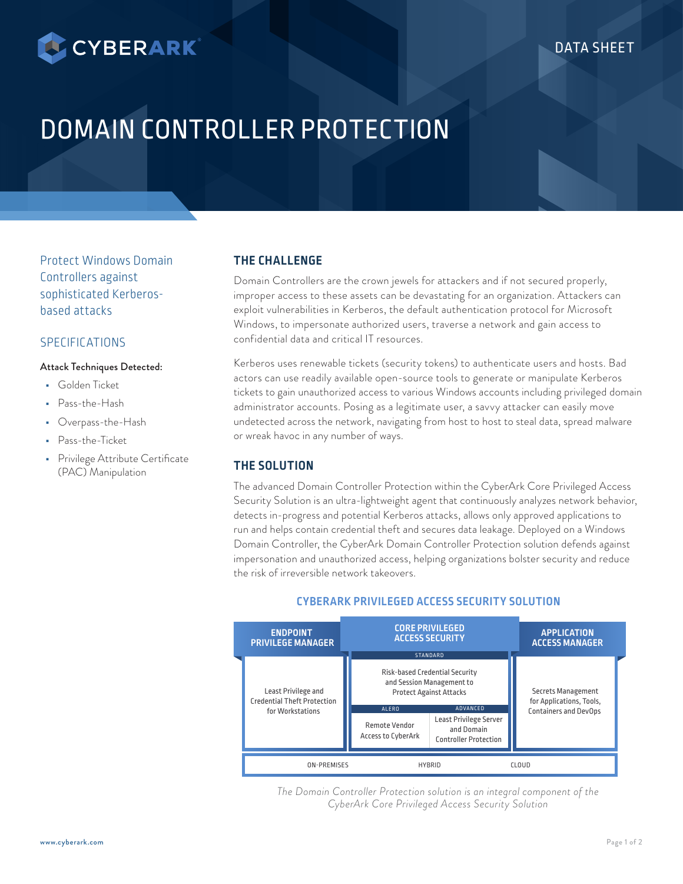

# DOMAIN CONTROLLER PROTECTION

Protect Windows Domain Controllers against sophisticated Kerberosbased attacks

# SPECIFICATIONS

#### Attack Techniques Detected:

- Golden Ticket
- Pass-the-Hash
- Overpass-the-Hash
- Pass-the-Ticket
- **Privilege Attribute Certificate** (PAC) Manipulation

### **THE CHALLENGE**

Domain Controllers are the crown jewels for attackers and if not secured properly, improper access to these assets can be devastating for an organization. Attackers can exploit vulnerabilities in Kerberos, the default authentication protocol for Microsoft Windows, to impersonate authorized users, traverse a network and gain access to confidential data and critical IT resources.

Kerberos uses renewable tickets (security tokens) to authenticate users and hosts. Bad actors can use readily available open-source tools to generate or manipulate Kerberos tickets to gain unauthorized access to various Windows accounts including privileged domain administrator accounts. Posing as a legitimate user, a savvy attacker can easily move undetected across the network, navigating from host to host to steal data, spread malware or wreak havoc in any number of ways.

# **THE SOLUTION**

The advanced Domain Controller Protection within the CyberArk Core Privileged Access Security Solution is an ultra-lightweight agent that continuously analyzes network behavior, detects in-progress and potential Kerberos attacks, allows only approved applications to run and helps contain credential theft and secures data leakage. Deployed on a Windows Domain Controller, the CyberArk Domain Controller Protection solution defends against impersonation and unauthorized access, helping organizations bolster security and reduce the risk of irreversible network takeovers.



#### **CYBERARK PRIVILEGED ACCESS SECURITY SOLUTION**

*The Domain Controller Protection solution is an integral component of the CyberArk Core Privileged Access Security Solution*